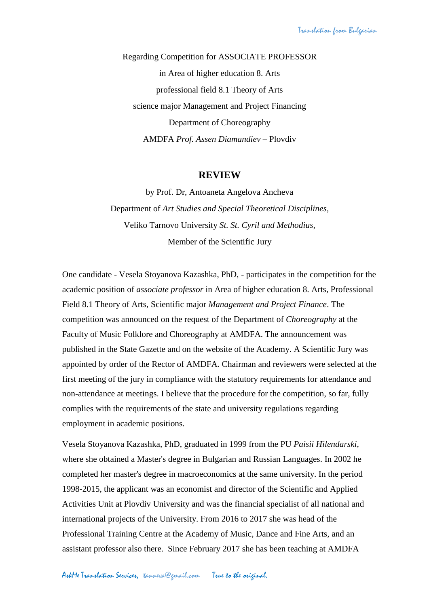Regarding Competition for ASSOCIATE PROFESSOR in Area of higher education 8. Arts professional field 8.1 Theory of Arts science major Management and Project Financing Department of Choreography AMDFA *Prof. Assen Diamandiev* – Plovdiv

## **REVIEW**

by Prof. Dr, Antoaneta Angelova Ancheva Department of *Art Studies and Special Theoretical Disciplines*, Veliko Tarnovo University *St. St. Cyril and Methodius,* Member of the Scientific Jury

One candidate - Vesela Stoyanova Kazashka, PhD, - participates in the competition for the academic position of *associate professor* in Area of higher education 8. Arts, Professional Field 8.1 Theory of Arts, Scientific major *Management and Project Finance*. The competition was announced on the request of the Department of *Choreography* at the Faculty of Music Folklore and Choreography at AMDFA. The announcement was published in the State Gazette and on the website of the Academy. A Scientific Jury was appointed by order of the Rector of AMDFA. Chairman and reviewers were selected at the first meeting of the jury in compliance with the statutory requirements for attendance and non-attendance at meetings. I believe that the procedure for the competition, so far, fully complies with the requirements of the state and university regulations regarding employment in academic positions.

Vesela Stoyanova Kazashka, PhD, graduated in 1999 from the PU *Paisii Hilendarski*, where she obtained a Master's degree in Bulgarian and Russian Languages. In 2002 he completed her master's degree in macroeconomics at the same university. In the period 1998-2015, the applicant was an economist and director of the Scientific and Applied Activities Unit at Plovdiv University and was the financial specialist of all national and international projects of the University. From 2016 to 2017 she was head of the Professional Training Centre at the Academy of Music, Dance and Fine Arts, and an assistant professor also there. Since February 2017 she has been teaching at AMDFA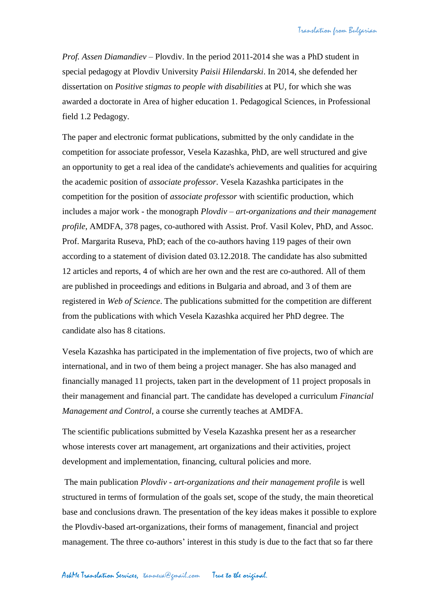*Prof. Assen Diamandiev* – Plovdiv. In the period 2011-2014 she was a PhD student in special pedagogy at Plovdiv University *Paisii Hilendarski*. In 2014, she defended her dissertation on *Positive stigmas to people with disabilities* at PU, for which she was awarded a doctorate in Area of higher education 1. Pedagogical Sciences, in Professional field 1.2 Pedagogy.

The paper and electronic format publications, submitted by the only candidate in the competition for associate professor, Vesela Kazashka, PhD, are well structured and give an opportunity to get a real idea of the candidate's achievements and qualities for acquiring the academic position of *associate professor*. Vesela Kazashka participates in the competition for the position of *associate professor* with scientific production, which includes a major work - the monograph *Plovdiv – art-organizations and their management profile*, AMDFA, 378 pages, co-authored with Assist. Prof. Vasil Kolev, PhD, and Assoc. Prof. Margarita Ruseva, PhD; each of the co-authors having 119 pages of their own according to a statement of division dated 03.12.2018. The candidate has also submitted 12 articles and reports, 4 of which are her own and the rest are co-authored. All of them are published in proceedings and editions in Bulgaria and abroad, and 3 of them are registered in *Web of Science*. The publications submitted for the competition are different from the publications with which Vesela Kazashka acquired her PhD degree. The candidate also has 8 citations.

Vesela Kazashka has participated in the implementation of five projects, two of which are international, and in two of them being a project manager. She has also managed and financially managed 11 projects, taken part in the development of 11 project proposals in their management and financial part. The candidate has developed a curriculum *Financial Management and Control*, a course she currently teaches at AMDFA.

The scientific publications submitted by Vesela Kazashka present her as a researcher whose interests cover art management, art organizations and their activities, project development and implementation, financing, cultural policies and more.

The main publication *Plovdiv - art-organizations and their management profile* is well structured in terms of formulation of the goals set, scope of the study, the main theoretical base and conclusions drawn. The presentation of the key ideas makes it possible to explore the Plovdiv-based art-organizations, their forms of management, financial and project management. The three co-authors' interest in this study is due to the fact that so far there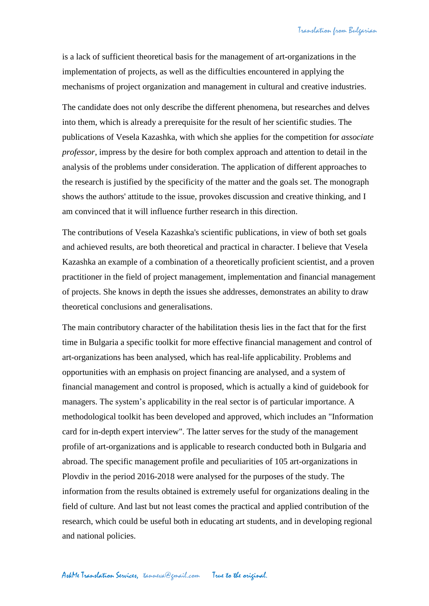is a lack of sufficient theoretical basis for the management of art-organizations in the implementation of projects, as well as the difficulties encountered in applying the mechanisms of project organization and management in cultural and creative industries.

The candidate does not only describe the different phenomena, but researches and delves into them, which is already a prerequisite for the result of her scientific studies. The publications of Vesela Kazashka, with which she applies for the competition for *associate professor*, impress by the desire for both complex approach and attention to detail in the analysis of the problems under consideration. The application of different approaches to the research is justified by the specificity of the matter and the goals set. The monograph shows the authors' attitude to the issue, provokes discussion and creative thinking, and I am convinced that it will influence further research in this direction.

The contributions of Vesela Kazashka's scientific publications, in view of both set goals and achieved results, are both theoretical and practical in character. I believe that Vesela Kazashka an example of a combination of a theoretically proficient scientist, and a proven practitioner in the field of project management, implementation and financial management of projects. She knows in depth the issues she addresses, demonstrates an ability to draw theoretical conclusions and generalisations.

The main contributory character of the habilitation thesis lies in the fact that for the first time in Bulgaria a specific toolkit for more effective financial management and control of art-organizations has been analysed, which has real-life applicability. Problems and opportunities with an emphasis on project financing are analysed, and a system of financial management and control is proposed, which is actually a kind of guidebook for managers. The system's applicability in the real sector is of particular importance. A methodological toolkit has been developed and approved, which includes an "Information card for in-depth expert interview". The latter serves for the study of the management profile of art-organizations and is applicable to research conducted both in Bulgaria and abroad. The specific management profile and peculiarities of 105 art-organizations in Plovdiv in the period 2016-2018 were analysed for the purposes of the study. The information from the results obtained is extremely useful for organizations dealing in the field of culture. And last but not least comes the practical and applied contribution of the research, which could be useful both in educating art students, and in developing regional and national policies.